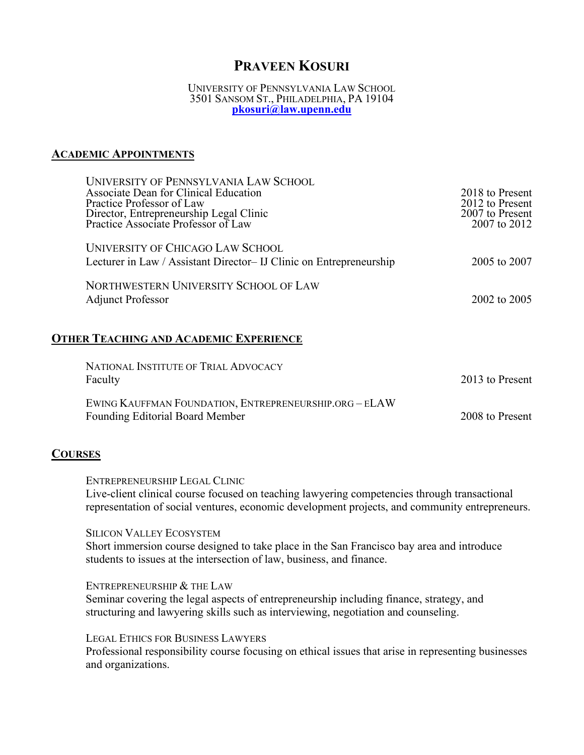# **PRAVEEN KOSURI**

#### UNIVERSITY OF PENNSYLVANIA LAW SCHOOL 3501 SANSOM ST., PHILADELPHIA, PA 19104 **[pkosuri@law.upenn.edu](mailto:pkosuri@law.upenn.edu)**

#### **ACADEMIC APPOINTMENTS**

| UNIVERSITY OF PENNSYLVANIA LAW SCHOOL<br>Associate Dean for Clinical Education<br>Practice Professor of Law<br>Director, Entrepreneurship Legal Clinic<br>Practice Associate Professor of Law | 2018 to Present<br>2012 to Present<br>2007 to Present<br>2007 to 2012 |
|-----------------------------------------------------------------------------------------------------------------------------------------------------------------------------------------------|-----------------------------------------------------------------------|
| UNIVERSITY OF CHICAGO LAW SCHOOL<br>Lecturer in Law / Assistant Director- IJ Clinic on Entrepreneurship                                                                                       | 2005 to 2007                                                          |
| NORTHWESTERN UNIVERSITY SCHOOL OF LAW<br><b>Adjunct Professor</b>                                                                                                                             | 2002 to 2005                                                          |

### **OTHER TEACHING AND ACADEMIC EXPERIENCE**

| NATIONAL INSTITUTE OF TRIAL ADVOCACY<br>Faculty                                                  | 2013 to Present |
|--------------------------------------------------------------------------------------------------|-----------------|
| EWING KAUFFMAN FOUNDATION, ENTREPRENEURSHIP.ORG - ELAW<br><b>Founding Editorial Board Member</b> | 2008 to Present |

#### **COURSES**

ENTREPRENEURSHIP LEGAL CLINIC

Live-client clinical course focused on teaching lawyering competencies through transactional representation of social ventures, economic development projects, and community entrepreneurs.

SILICON VALLEY ECOSYSTEM

Short immersion course designed to take place in the San Francisco bay area and introduce students to issues at the intersection of law, business, and finance.

ENTREPRENEURSHIP & THE LAW Seminar covering the legal aspects of entrepreneurship including finance, strategy, and structuring and lawyering skills such as interviewing, negotiation and counseling.

LEGAL ETHICS FOR BUSINESS LAWYERS Professional responsibility course focusing on ethical issues that arise in representing businesses and organizations.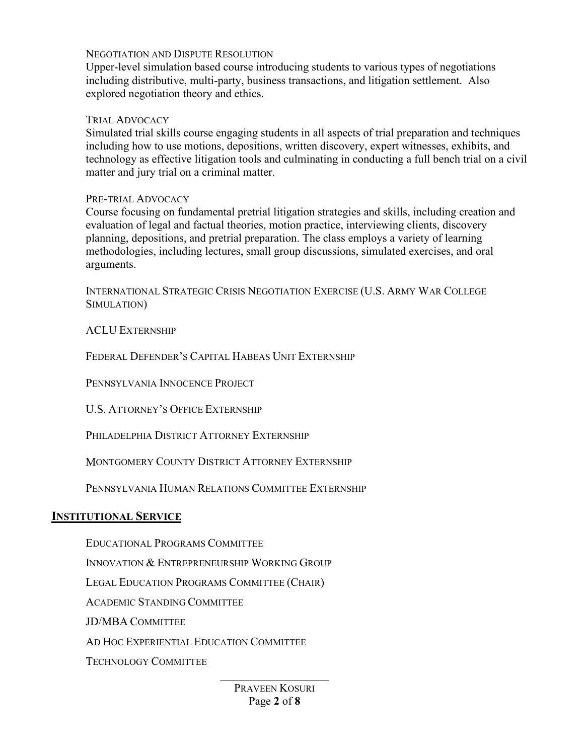#### NEGOTIATION AND DISPUTE RESOLUTION

Upper-level simulation based course introducing students to various types of negotiations including distributive, multi-party, business transactions, and litigation settlement. Also explored negotiation theory and ethics.

#### TRIAL ADVOCACY

Simulated trial skills course engaging students in all aspects of trial preparation and techniques including how to use motions, depositions, written discovery, expert witnesses, exhibits, and technology as effective litigation tools and culminating in conducting a full bench trial on a civil matter and jury trial on a criminal matter.

#### PRE-TRIAL ADVOCACY

Course focusing on fundamental pretrial litigation strategies and skills, including creation and evaluation of legal and factual theories, motion practice, interviewing clients, discovery planning, depositions, and pretrial preparation. The class employs a variety of learning methodologies, including lectures, small group discussions, simulated exercises, and oral arguments.

INTERNATIONAL STRATEGIC CRISIS NEGOTIATION EXERCISE (U.S. ARMY WAR COLLEGE SIMULATION)

#### ACLU EXTERNSHIP

FEDERAL DEFENDER'S CAPITAL HABEAS UNIT EXTERNSHIP

PENNSYLVANIA INNOCENCE PROJECT

U.S. ATTORNEY'S OFFICE EXTERNSHIP

PHILADELPHIA DISTRICT ATTORNEY EXTERNSHIP

MONTGOMERY COUNTY DISTRICT ATTORNEY EXTERNSHIP

PENNSYLVANIA HUMAN RELATIONS COMMITTEE EXTERNSHIP

#### **INSTITUTIONAL SERVICE**

EDUCATIONAL PROGRAMS COMMITTEE INNOVATION & ENTREPRENEURSHIP WORKING GROUP LEGAL EDUCATION PROGRAMS COMMITTEE (CHAIR) ACADEMIC STANDING COMMITTEE JD/MBA COMMITTEE AD HOC EXPERIENTIAL EDUCATION COMMITTEE TECHNOLOGY COMMITTEE

> PRAVEEN KOSURI Page **2** of **8**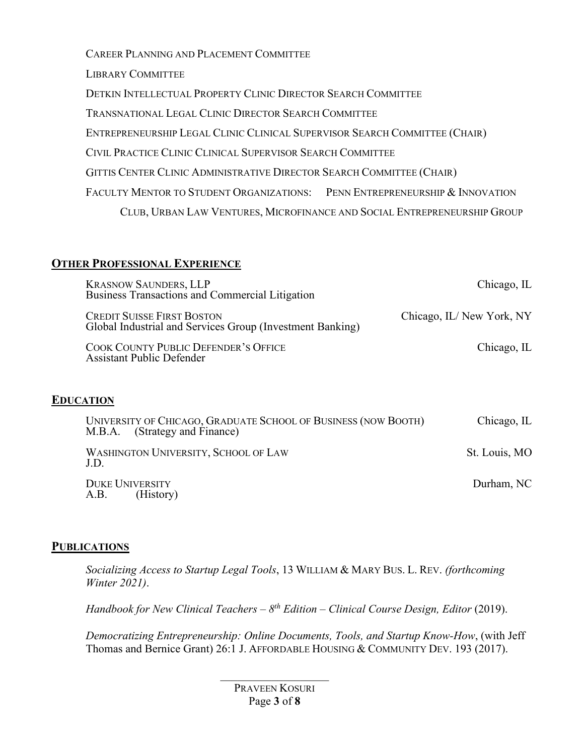CAREER PLANNING AND PLACEMENT COMMITTEE LIBRARY COMMITTEE DETKIN INTELLECTUAL PROPERTY CLINIC DIRECTOR SEARCH COMMITTEE TRANSNATIONAL LEGAL CLINIC DIRECTOR SEARCH COMMITTEE ENTREPRENEURSHIP LEGAL CLINIC CLINICAL SUPERVISOR SEARCH COMMITTEE (CHAIR) CIVIL PRACTICE CLINIC CLINICAL SUPERVISOR SEARCH COMMITTEE GITTIS CENTER CLINIC ADMINISTRATIVE DIRECTOR SEARCH COMMITTEE (CHAIR) FACULTY MENTOR TO STUDENT ORGANIZATIONS: PENN ENTREPRENEURSHIP & INNOVATION CLUB, URBAN LAW VENTURES, MICROFINANCE AND SOCIAL ENTREPRENEURSHIP GROUP

## **OTHER PROFESSIONAL EXPERIENCE**

| <b>KRASNOW SAUNDERS, LLP</b><br>Business Transactions and Commercial Litigation                | Chicago, IL              |
|------------------------------------------------------------------------------------------------|--------------------------|
| <b>CREDIT SUISSE FIRST BOSTON</b><br>Global Industrial and Services Group (Investment Banking) | Chicago, IL/New York, NY |
| COOK COUNTY PUBLIC DEFENDER'S OFFICE<br><b>Assistant Public Defender</b>                       | Chicago, IL              |

## **EDUCATION**

| UNIVERSITY OF CHICAGO, GRADUATE SCHOOL OF BUSINESS (NOW BOOTH)<br>M.B.A. (Strategy and Finance) | Chicago, IL   |
|-------------------------------------------------------------------------------------------------|---------------|
| WASHINGTON UNIVERSITY, SCHOOL OF LAW<br>J.D.                                                    | St. Louis, MO |
| <b>DUKE UNIVERSITY</b><br>(History)<br>A.B.                                                     | Durham, NC    |

## **PUBLICATIONS**

*Socializing Access to Startup Legal Tools*, 13 WILLIAM & MARY BUS. L. REV. *(forthcoming Winter 2021)*.

*Handbook for New Clinical Teachers – 8th Edition – Clinical Course Design, Editor* (2019).

*Democratizing Entrepreneurship: Online Documents, Tools, and Startup Know-How*, (with Jeff Thomas and Bernice Grant) 26:1 J. AFFORDABLE HOUSING & COMMUNITY DEV. 193 (2017).

> PRAVEEN KOSURI Page **3** of **8**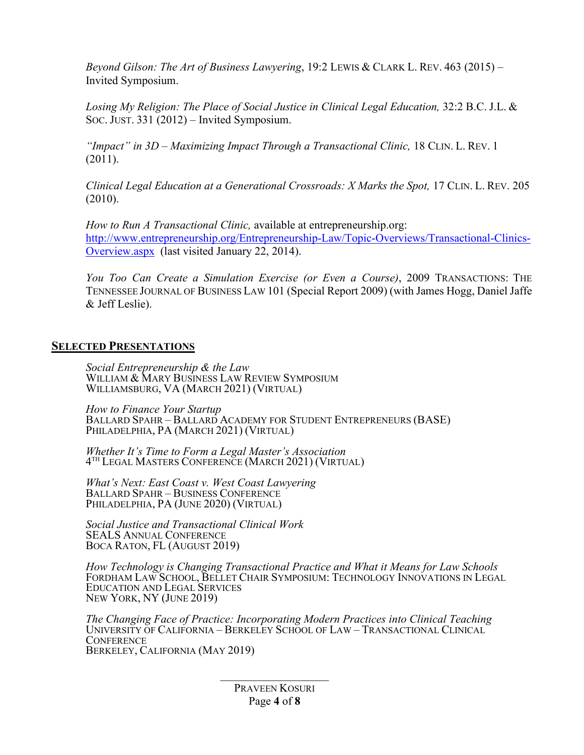*Beyond Gilson: The Art of Business Lawyering*, 19:2 LEWIS & CLARK L. REV. 463 (2015) – Invited Symposium.

Losing My Religion: The Place of Social Justice in Clinical Legal Education, 32:2 B.C. J.L. & SOC. JUST. 331 (2012) – Invited Symposium.

*"Impact" in 3D – Maximizing Impact Through a Transactional Clinic,* 18 CLIN. L. REV. 1 (2011).

*Clinical Legal Education at a Generational Crossroads: X Marks the Spot,* 17 CLIN. L. REV. 205 (2010).

*How to Run A Transactional Clinic,* available at entrepreneurship.org: [http://www.entrepreneurship.org/Entrepreneurship-Law/Topic-Overviews/Transactional-Clinics-](http://www.entrepreneurship.org/Entrepreneurship-Law/Topic-Overviews/Transactional-Clinics-Overview.aspx)[Overview.aspx](http://www.entrepreneurship.org/Entrepreneurship-Law/Topic-Overviews/Transactional-Clinics-Overview.aspx) (last visited January 22, 2014).

*You Too Can Create a Simulation Exercise (or Even a Course)*, 2009 TRANSACTIONS: THE TENNESSEE JOURNAL OF BUSINESS LAW 101 (Special Report 2009) (with James Hogg, Daniel Jaffe & Jeff Leslie).

### **SELECTED PRESENTATIONS**

*Social Entrepreneurship & the Law* WILLIAM & MARY BUSINESS LAW REVIEW SYMPOSIUM WILLIAMSBURG, VA (MARCH 2021) (VIRTUAL)

*How to Finance Your Startup* BALLARD SPAHR – BALLARD ACADEMY FOR STUDENT ENTREPRENEURS (BASE) PHILADELPHIA, PA (MARCH 2021) (VIRTUAL)

*Whether It's Time to Form a Legal Master's Association* 4TH LEGAL MASTERS CONFERENCE (MARCH 2021) (VIRTUAL)

*What's Next: East Coast v. West Coast Lawyering* BALLARD SPAHR – BUSINESS CONFERENCE PHILADELPHIA, PA (JUNE 2020) (VIRTUAL)

*Social Justice and Transactional Clinical Work* SEALS ANNUAL CONFERENCE BOCA RATON, FL (AUGUST 2019)

*How Technology is Changing Transactional Practice and What it Means for Law Schools*  FORDHAM LAW SCHOOL, BELLET CHAIR SYMPOSIUM: TECHNOLOGY INNOVATIONS IN LEGAL EDUCATION AND LEGAL SERVICES NEW YORK, NY (JUNE 2019)

*The Changing Face of Practice: Incorporating Modern Practices into Clinical Teaching* UNIVERSITY OF CALIFORNIA – BERKELEY SCHOOL OF LAW – TRANSACTIONAL CLINICAL **CONFERENCE** BERKELEY, CALIFORNIA (MAY 2019)

> PRAVEEN KOSURI Page **4** of **8**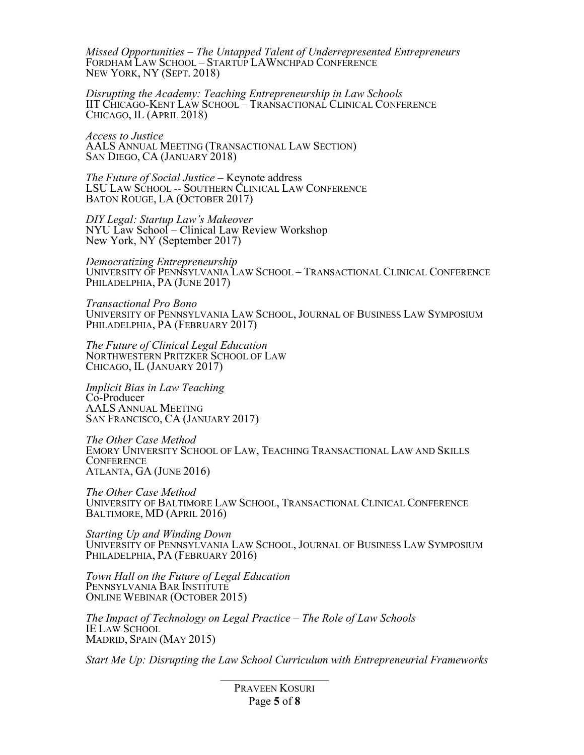*Missed Opportunities – The Untapped Talent of Underrepresented Entrepreneurs* FORDHAM LAW SCHOOL – STARTUP LAWNCHPAD CONFERENCE NEW YORK, NY (SEPT. 2018)

*Disrupting the Academy: Teaching Entrepreneurship in Law Schools* IIT CHICAGO-KENT LAW SCHOOL – TRANSACTIONAL CLINICAL CONFERENCE CHICAGO, IL (APRIL 2018)

*Access to Justice* AALS ANNUAL MEETING (TRANSACTIONAL LAW SECTION) SAN DIEGO, CA (JANUARY 2018)

*The Future of Social Justice* – Keynote address LSU LAW SCHOOL -- SOUTHERN CLINICAL LAW CONFERENCE BATON ROUGE, LA (OCTOBER 2017)

*DIY Legal: Startup Law's Makeover* NYU Law School – Clinical Law Review Workshop New York, NY (September 2017)

*Democratizing Entrepreneurship* UNIVERSITY OF PENNSYLVANIA LAW SCHOOL – TRANSACTIONAL CLINICAL CONFERENCE PHILADELPHIA, PA (JUNE 2017)

*Transactional Pro Bono* UNIVERSITY OF PENNSYLVANIA LAW SCHOOL, JOURNAL OF BUSINESS LAW SYMPOSIUM PHILADELPHIA, PA (FEBRUARY 2017)

*The Future of Clinical Legal Education* NORTHWESTERN PRITZKER SCHOOL OF LAW CHICAGO, IL (JANUARY 2017)

*Implicit Bias in Law Teaching* Co-Producer AALS ANNUAL MEETING SAN FRANCISCO, CA (JANUARY 2017)

*The Other Case Method* EMORY UNIVERSITY SCHOOL OF LAW, TEACHING TRANSACTIONAL LAW AND SKILLS **CONFERENCE** ATLANTA, GA (JUNE 2016)

*The Other Case Method* UNIVERSITY OF BALTIMORE LAW SCHOOL, TRANSACTIONAL CLINICAL CONFERENCE BALTIMORE, MD (APRIL 2016)

*Starting Up and Winding Down* UNIVERSITY OF PENNSYLVANIA LAW SCHOOL, JOURNAL OF BUSINESS LAW SYMPOSIUM PHILADELPHIA, PA (FEBRUARY 2016)

*Town Hall on the Future of Legal Education* PENNSYLVANIA BAR INSTITUTE ONLINE WEBINAR (OCTOBER 2015)

*The Impact of Technology on Legal Practice – The Role of Law Schools* IE LAW SCHOOL MADRID, SPAIN (MAY 2015)

*Start Me Up: Disrupting the Law School Curriculum with Entrepreneurial Frameworks*

PRAVEEN KOSURI Page **5** of **8**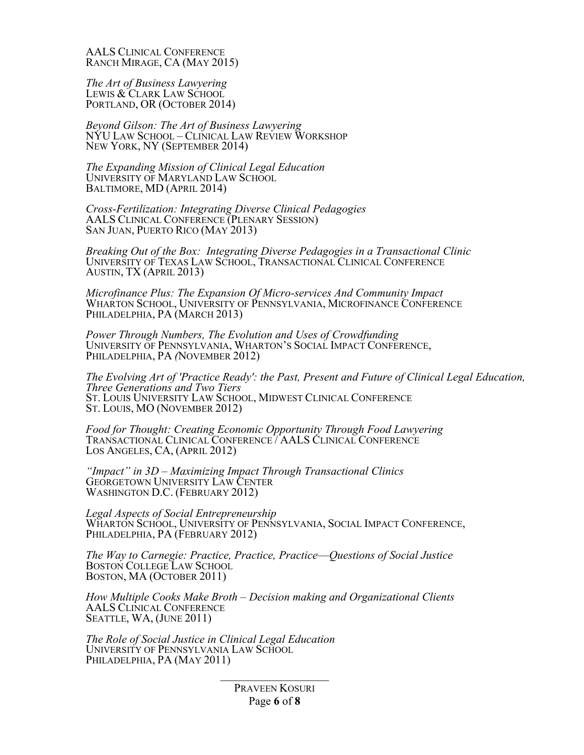AALS CLINICAL CONFERENCE RANCH MIRAGE, CA (MAY 2015)

*The Art of Business Lawyering* LEWIS & CLARK LAW SCHOOL PORTLAND, OR (OCTOBER 2014)

*Beyond Gilson: The Art of Business Lawyering* NYU LAW SCHOOL – CLINICAL LAW REVIEW WORKSHOP NEW YORK, NY (SEPTEMBER 2014)

*The Expanding Mission of Clinical Legal Education* UNIVERSITY OF MARYLAND LAW SCHOOL BALTIMORE, MD (APRIL 2014)

*Cross-Fertilization: Integrating Diverse Clinical Pedagogies* AALS CLINICAL CONFERENCE (PLENARY SESSION) SAN JUAN, PUERTO RICO (MAY 2013)

*Breaking Out of the Box: Integrating Diverse Pedagogies in a Transactional Clinic* UNIVERSITY OF TEXAS LAW SCHOOL, TRANSACTIONAL CLINICAL CONFERENCE AUSTIN, TX (APRIL 2013)

*Microfinance Plus: The Expansion Of Micro-services And Community Impact* WHARTON SCHOOL, UNIVERSITY OF PENNSYLVANIA, MICROFINANCE CONFERENCE PHILADELPHIA, PA (MARCH 2013)

*Power Through Numbers, The Evolution and Uses of Crowdfunding* UNIVERSITY OF PENNSYLVANIA, WHARTON'S SOCIAL IMPACT CONFERENCE, PHILADELPHIA, PA *(*NOVEMBER 2012)

*The Evolving Art of 'Practice Ready': the Past, Present and Future of Clinical Legal Education, Three Generations and Two Tiers* ST. LOUIS UNIVERSITY LAW SCHOOL, MIDWEST CLINICAL CONFERENCE ST. LOUIS, MO (NOVEMBER 2012)

*Food for Thought: Creating Economic Opportunity Through Food Lawyering* TRANSACTIONAL CLINICAL CONFERENCE / AALS CLINICAL CONFERENCE LOS ANGELES, CA, (APRIL 2012)

*"Impact" in 3D – Maximizing Impact Through Transactional Clinics* GEORGETOWN UNIVERSITY LAW CENTER WASHINGTON D.C. (FEBRUARY 2012)

*Legal Aspects of Social Entrepreneurship* WHARTON SCHOOL, UNIVERSITY OF PENNSYLVANIA, SOCIAL IMPACT CONFERENCE, PHILADELPHIA, PA (FEBRUARY 2012)

*The Way to Carnegie: Practice, Practice, Practice*—*Questions of Social Justice* BOSTON COLLEGE LAW SCHOOL BOSTON, MA (OCTOBER 2011)

*How Multiple Cooks Make Broth – Decision making and Organizational Clients* AALS CLINICAL CONFERENCE SEATTLE, WA, (JUNE 2011)

*The Role of Social Justice in Clinical Legal Education* UNIVERSITY OF PENNSYLVANIA LAW SCHOOL PHILADELPHIA, PA (MAY 2011)

> PRAVEEN KOSURI Page **6** of **8**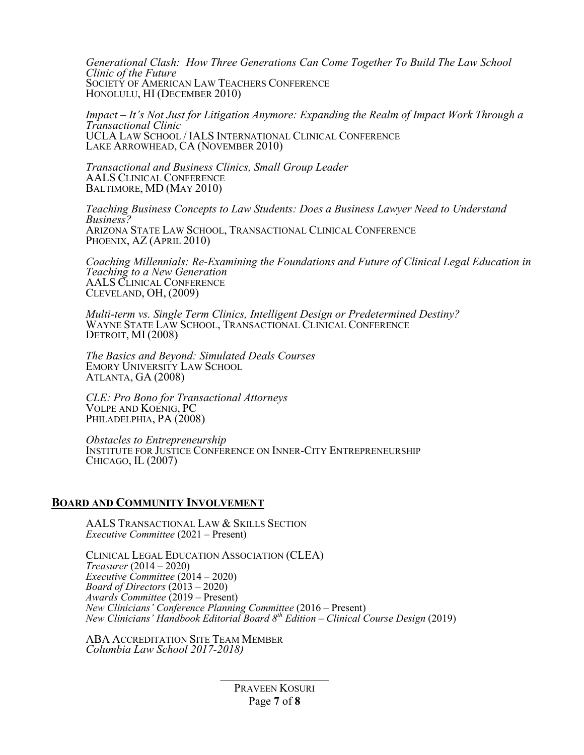*Generational Clash: How Three Generations Can Come Together To Build The Law School Clinic of the Future* SOCIETY OF AMERICAN LAW TEACHERS CONFERENCE HONOLULU, HI (DECEMBER 2010)

*Impact – It's Not Just for Litigation Anymore: Expanding the Realm of Impact Work Through a Transactional Clinic* UCLA LAW SCHOOL / IALS INTERNATIONAL CLINICAL CONFERENCE LAKE ARROWHEAD, CA (NOVEMBER 2010)

*Transactional and Business Clinics, Small Group Leader* AALS CLINICAL CONFERENCE BALTIMORE, MD (MAY 2010)

*Teaching Business Concepts to Law Students: Does a Business Lawyer Need to Understand Business?* ARIZONA STATE LAW SCHOOL, TRANSACTIONAL CLINICAL CONFERENCE PHOENIX, AZ (APRIL 2010)

*Coaching Millennials: Re-Examining the Foundations and Future of Clinical Legal Education in Teaching to a New Generation* AALS CLINICAL CONFERENCE CLEVELAND, OH, (2009)

*Multi-term vs. Single Term Clinics, Intelligent Design or Predetermined Destiny?* WAYNE STATE LAW SCHOOL, TRANSACTIONAL CLINICAL CONFERENCE DETROIT, MI (2008)

*The Basics and Beyond: Simulated Deals Courses* EMORY UNIVERSITY LAW SCHOOL ATLANTA, GA (2008)

*CLE: Pro Bono for Transactional Attorneys* VOLPE AND KOENIG, PC PHILADELPHIA, PA (2008)

*Obstacles to Entrepreneurship* INSTITUTE FOR JUSTICE CONFERENCE ON INNER-CITY ENTREPRENEURSHIP CHICAGO, IL (2007)

#### **BOARD AND COMMUNITY INVOLVEMENT**

AALS TRANSACTIONAL LAW & SKILLS SECTION *Executive Committee* (2021 – Present)

CLINICAL LEGAL EDUCATION ASSOCIATION (CLEA) *Treasurer* (2014 – 2020) *Executive Committee* (2014 – 2020) *Board of Directors* (2013 – 2020) *Awards Committee* (2019 – Present) *New Clinicians' Conference Planning Committee* (2016 – Present) *New Clinicians' Handbook Editorial Board 8th Edition – Clinical Course Design* (2019)

ABA ACCREDITATION SITE TEAM MEMBER *Columbia Law School 2017-2018)*

> PRAVEEN KOSURI Page **7** of **8**